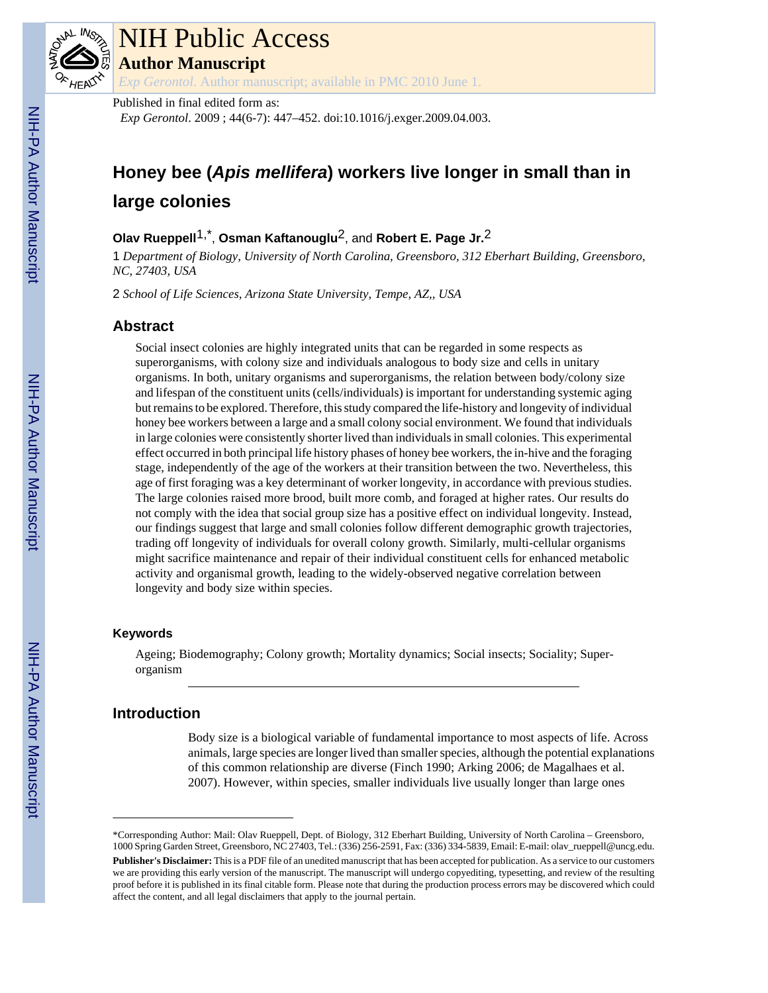

# NIH Public Access

**Author Manuscript**

*Exp Gerontol*. Author manuscript; available in PMC 2010 June 1.

#### Published in final edited form as:

*Exp Gerontol*. 2009 ; 44(6-7): 447–452. doi:10.1016/j.exger.2009.04.003.

# **Honey bee (***Apis mellifera***) workers live longer in small than in large colonies**

# **Olav Rueppell**1,\* , **Osman Kaftanouglu**2, and **Robert E. Page Jr.**2

1 *Department of Biology, University of North Carolina, Greensboro, 312 Eberhart Building, Greensboro, NC, 27403, USA*

2 *School of Life Sciences, Arizona State University, Tempe, AZ,, USA*

# **Abstract**

Social insect colonies are highly integrated units that can be regarded in some respects as superorganisms, with colony size and individuals analogous to body size and cells in unitary organisms. In both, unitary organisms and superorganisms, the relation between body/colony size and lifespan of the constituent units (cells/individuals) is important for understanding systemic aging but remains to be explored. Therefore, this study compared the life-history and longevity of individual honey bee workers between a large and a small colony social environment. We found that individuals in large colonies were consistently shorter lived than individuals in small colonies. This experimental effect occurred in both principal life history phases of honey bee workers, the in-hive and the foraging stage, independently of the age of the workers at their transition between the two. Nevertheless, this age of first foraging was a key determinant of worker longevity, in accordance with previous studies. The large colonies raised more brood, built more comb, and foraged at higher rates. Our results do not comply with the idea that social group size has a positive effect on individual longevity. Instead, our findings suggest that large and small colonies follow different demographic growth trajectories, trading off longevity of individuals for overall colony growth. Similarly, multi-cellular organisms might sacrifice maintenance and repair of their individual constituent cells for enhanced metabolic activity and organismal growth, leading to the widely-observed negative correlation between longevity and body size within species.

## **Keywords**

Ageing; Biodemography; Colony growth; Mortality dynamics; Social insects; Sociality; Superorganism

# **Introduction**

Body size is a biological variable of fundamental importance to most aspects of life. Across animals, large species are longer lived than smaller species, although the potential explanations of this common relationship are diverse (Finch 1990; Arking 2006; de Magalhaes et al. 2007). However, within species, smaller individuals live usually longer than large ones

<sup>\*</sup>Corresponding Author: Mail: Olav Rueppell, Dept. of Biology, 312 Eberhart Building, University of North Carolina – Greensboro, 1000 Spring Garden Street, Greensboro, NC 27403, Tel.: (336) 256-2591, Fax: (336) 334-5839, Email: E-mail: olav\_rueppell@uncg.edu.

**Publisher's Disclaimer:** This is a PDF file of an unedited manuscript that has been accepted for publication. As a service to our customers we are providing this early version of the manuscript. The manuscript will undergo copyediting, typesetting, and review of the resulting proof before it is published in its final citable form. Please note that during the production process errors may be discovered which could affect the content, and all legal disclaimers that apply to the journal pertain.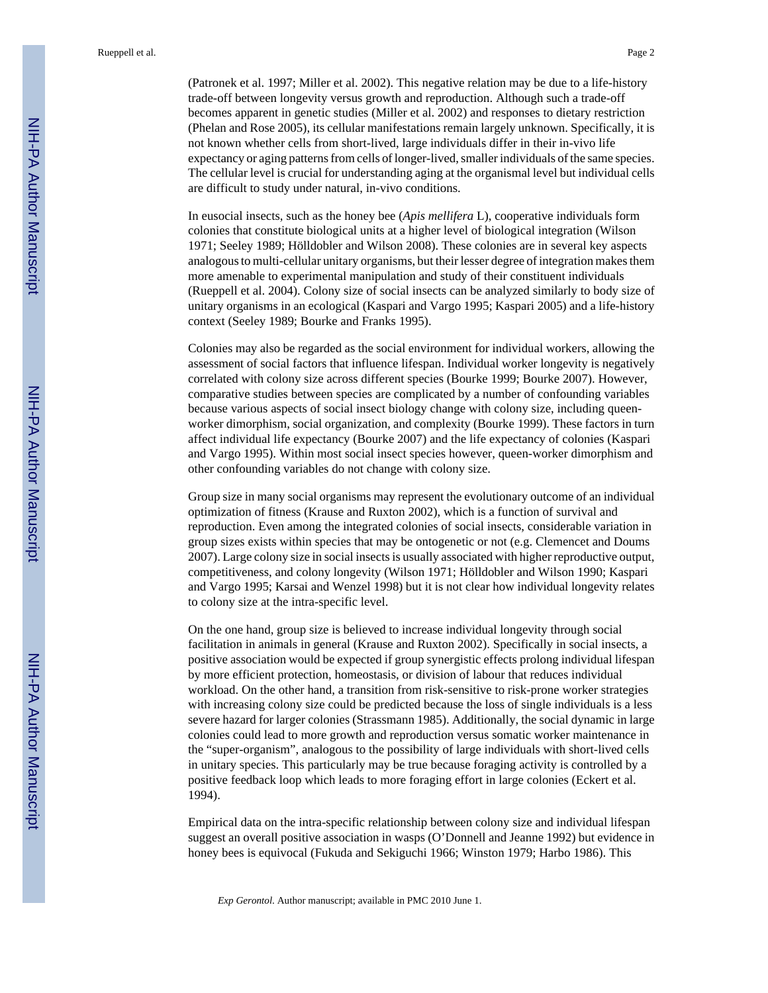(Patronek et al. 1997; Miller et al. 2002). This negative relation may be due to a life-history trade-off between longevity versus growth and reproduction. Although such a trade-off becomes apparent in genetic studies (Miller et al. 2002) and responses to dietary restriction (Phelan and Rose 2005), its cellular manifestations remain largely unknown. Specifically, it is not known whether cells from short-lived, large individuals differ in their in-vivo life expectancy or aging patterns from cells of longer-lived, smaller individuals of the same species. The cellular level is crucial for understanding aging at the organismal level but individual cells are difficult to study under natural, in-vivo conditions.

In eusocial insects, such as the honey bee (*Apis mellifera* L), cooperative individuals form colonies that constitute biological units at a higher level of biological integration (Wilson 1971; Seeley 1989; Hölldobler and Wilson 2008). These colonies are in several key aspects analogous to multi-cellular unitary organisms, but their lesser degree of integration makes them more amenable to experimental manipulation and study of their constituent individuals (Rueppell et al. 2004). Colony size of social insects can be analyzed similarly to body size of unitary organisms in an ecological (Kaspari and Vargo 1995; Kaspari 2005) and a life-history context (Seeley 1989; Bourke and Franks 1995).

Colonies may also be regarded as the social environment for individual workers, allowing the assessment of social factors that influence lifespan. Individual worker longevity is negatively correlated with colony size across different species (Bourke 1999; Bourke 2007). However, comparative studies between species are complicated by a number of confounding variables because various aspects of social insect biology change with colony size, including queenworker dimorphism, social organization, and complexity (Bourke 1999). These factors in turn affect individual life expectancy (Bourke 2007) and the life expectancy of colonies (Kaspari and Vargo 1995). Within most social insect species however, queen-worker dimorphism and other confounding variables do not change with colony size.

Group size in many social organisms may represent the evolutionary outcome of an individual optimization of fitness (Krause and Ruxton 2002), which is a function of survival and reproduction. Even among the integrated colonies of social insects, considerable variation in group sizes exists within species that may be ontogenetic or not (e.g. Clemencet and Doums 2007). Large colony size in social insects is usually associated with higher reproductive output, competitiveness, and colony longevity (Wilson 1971; Hölldobler and Wilson 1990; Kaspari and Vargo 1995; Karsai and Wenzel 1998) but it is not clear how individual longevity relates to colony size at the intra-specific level.

On the one hand, group size is believed to increase individual longevity through social facilitation in animals in general (Krause and Ruxton 2002). Specifically in social insects, a positive association would be expected if group synergistic effects prolong individual lifespan by more efficient protection, homeostasis, or division of labour that reduces individual workload. On the other hand, a transition from risk-sensitive to risk-prone worker strategies with increasing colony size could be predicted because the loss of single individuals is a less severe hazard for larger colonies (Strassmann 1985). Additionally, the social dynamic in large colonies could lead to more growth and reproduction versus somatic worker maintenance in the "super-organism", analogous to the possibility of large individuals with short-lived cells in unitary species. This particularly may be true because foraging activity is controlled by a positive feedback loop which leads to more foraging effort in large colonies (Eckert et al. 1994).

Empirical data on the intra-specific relationship between colony size and individual lifespan suggest an overall positive association in wasps (O'Donnell and Jeanne 1992) but evidence in honey bees is equivocal (Fukuda and Sekiguchi 1966; Winston 1979; Harbo 1986). This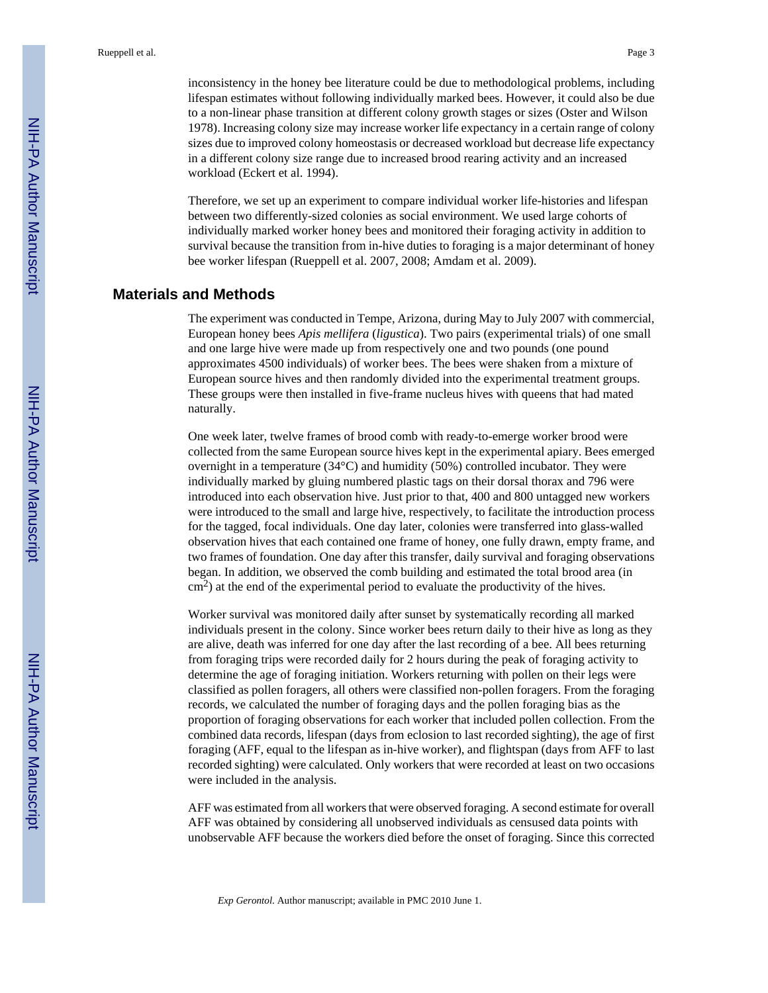inconsistency in the honey bee literature could be due to methodological problems, including lifespan estimates without following individually marked bees. However, it could also be due to a non-linear phase transition at different colony growth stages or sizes (Oster and Wilson 1978). Increasing colony size may increase worker life expectancy in a certain range of colony sizes due to improved colony homeostasis or decreased workload but decrease life expectancy in a different colony size range due to increased brood rearing activity and an increased workload (Eckert et al. 1994).

Therefore, we set up an experiment to compare individual worker life-histories and lifespan between two differently-sized colonies as social environment. We used large cohorts of individually marked worker honey bees and monitored their foraging activity in addition to survival because the transition from in-hive duties to foraging is a major determinant of honey bee worker lifespan (Rueppell et al. 2007, 2008; Amdam et al. 2009).

#### **Materials and Methods**

The experiment was conducted in Tempe, Arizona, during May to July 2007 with commercial, European honey bees *Apis mellifera* (*ligustica*). Two pairs (experimental trials) of one small and one large hive were made up from respectively one and two pounds (one pound approximates 4500 individuals) of worker bees. The bees were shaken from a mixture of European source hives and then randomly divided into the experimental treatment groups. These groups were then installed in five-frame nucleus hives with queens that had mated naturally.

One week later, twelve frames of brood comb with ready-to-emerge worker brood were collected from the same European source hives kept in the experimental apiary. Bees emerged overnight in a temperature (34°C) and humidity (50%) controlled incubator. They were individually marked by gluing numbered plastic tags on their dorsal thorax and 796 were introduced into each observation hive. Just prior to that, 400 and 800 untagged new workers were introduced to the small and large hive, respectively, to facilitate the introduction process for the tagged, focal individuals. One day later, colonies were transferred into glass-walled observation hives that each contained one frame of honey, one fully drawn, empty frame, and two frames of foundation. One day after this transfer, daily survival and foraging observations began. In addition, we observed the comb building and estimated the total brood area (in  $\text{cm}^2$ ) at the end of the experimental period to evaluate the productivity of the hives.

Worker survival was monitored daily after sunset by systematically recording all marked individuals present in the colony. Since worker bees return daily to their hive as long as they are alive, death was inferred for one day after the last recording of a bee. All bees returning from foraging trips were recorded daily for 2 hours during the peak of foraging activity to determine the age of foraging initiation. Workers returning with pollen on their legs were classified as pollen foragers, all others were classified non-pollen foragers. From the foraging records, we calculated the number of foraging days and the pollen foraging bias as the proportion of foraging observations for each worker that included pollen collection. From the combined data records, lifespan (days from eclosion to last recorded sighting), the age of first foraging (AFF, equal to the lifespan as in-hive worker), and flightspan (days from AFF to last recorded sighting) were calculated. Only workers that were recorded at least on two occasions were included in the analysis.

AFF was estimated from all workers that were observed foraging. A second estimate for overall AFF was obtained by considering all unobserved individuals as censused data points with unobservable AFF because the workers died before the onset of foraging. Since this corrected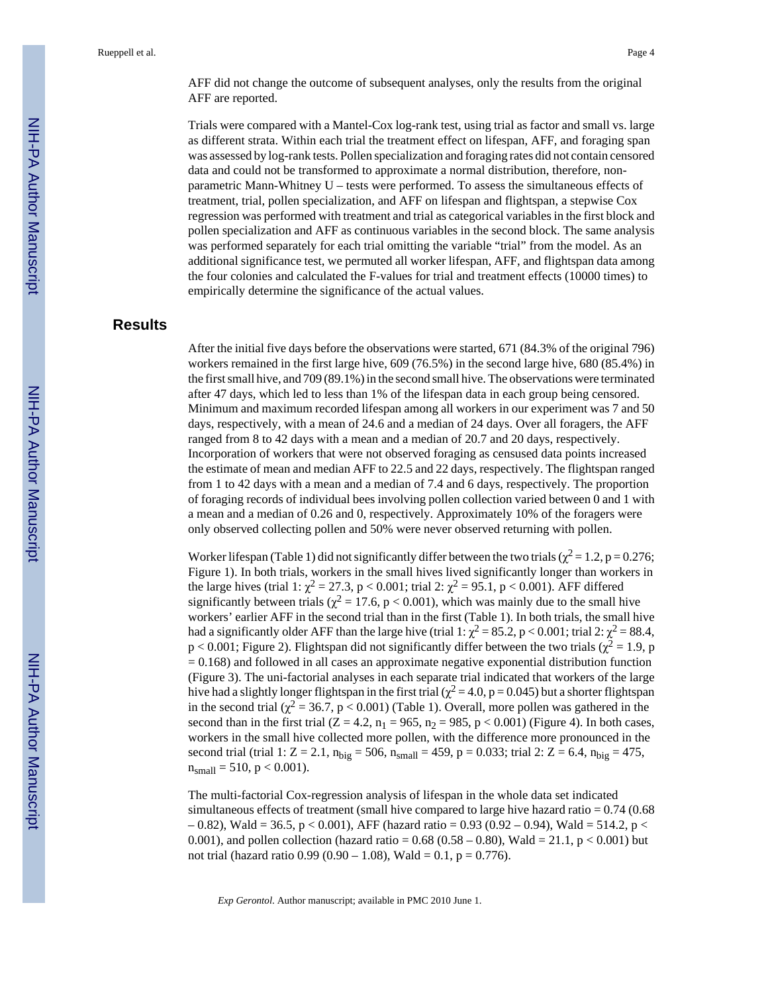AFF did not change the outcome of subsequent analyses, only the results from the original AFF are reported.

Trials were compared with a Mantel-Cox log-rank test, using trial as factor and small vs. large as different strata. Within each trial the treatment effect on lifespan, AFF, and foraging span was assessed by log-rank tests. Pollen specialization and foraging rates did not contain censored data and could not be transformed to approximate a normal distribution, therefore, nonparametric Mann-Whitney U – tests were performed. To assess the simultaneous effects of treatment, trial, pollen specialization, and AFF on lifespan and flightspan, a stepwise Cox regression was performed with treatment and trial as categorical variables in the first block and pollen specialization and AFF as continuous variables in the second block. The same analysis was performed separately for each trial omitting the variable "trial" from the model. As an additional significance test, we permuted all worker lifespan, AFF, and flightspan data among the four colonies and calculated the F-values for trial and treatment effects (10000 times) to empirically determine the significance of the actual values.

# **Results**

After the initial five days before the observations were started, 671 (84.3% of the original 796) workers remained in the first large hive, 609 (76.5%) in the second large hive, 680 (85.4%) in the first small hive, and 709 (89.1%) in the second small hive. The observations were terminated after 47 days, which led to less than 1% of the lifespan data in each group being censored. Minimum and maximum recorded lifespan among all workers in our experiment was 7 and 50 days, respectively, with a mean of 24.6 and a median of 24 days. Over all foragers, the AFF ranged from 8 to 42 days with a mean and a median of 20.7 and 20 days, respectively. Incorporation of workers that were not observed foraging as censused data points increased the estimate of mean and median AFF to 22.5 and 22 days, respectively. The flightspan ranged from 1 to 42 days with a mean and a median of 7.4 and 6 days, respectively. The proportion of foraging records of individual bees involving pollen collection varied between 0 and 1 with a mean and a median of 0.26 and 0, respectively. Approximately 10% of the foragers were only observed collecting pollen and 50% were never observed returning with pollen.

Worker lifespan (Table 1) did not significantly differ between the two trials ( $\chi^2 = 1.2$ , p = 0.276; Figure 1). In both trials, workers in the small hives lived significantly longer than workers in the large hives (trial 1:  $\chi^2 = 27.3$ , p < 0.001; trial 2:  $\chi^2 = 95.1$ , p < 0.001). AFF differed significantly between trials ( $\chi^2 = 17.6$ , p < 0.001), which was mainly due to the small hive workers' earlier AFF in the second trial than in the first (Table 1). In both trials, the small hive had a significantly older AFF than the large hive (trial 1:  $\chi^2 = 85.2$ , p < 0.001; trial 2:  $\chi^2 = 88.4$ ,  $p < 0.001$ ; Figure 2). Flightspan did not significantly differ between the two trials ( $\chi^2 = 1.9$ , p  $= 0.168$ ) and followed in all cases an approximate negative exponential distribution function (Figure 3). The uni-factorial analyses in each separate trial indicated that workers of the large hive had a slightly longer flightspan in the first trial ( $\chi^2$  = 4.0, p = 0.045) but a shorter flightspan in the second trial ( $\chi^2$  = 36.7, p < 0.001) (Table 1). Overall, more pollen was gathered in the second than in the first trial  $(Z = 4.2, n_1 = 965, n_2 = 985, p < 0.001)$  (Figure 4). In both cases, workers in the small hive collected more pollen, with the difference more pronounced in the second trial (trial 1: Z = 2.1,  $n_{big} = 506$ ,  $n_{small} = 459$ ,  $p = 0.033$ ; trial 2: Z = 6.4,  $n_{big} = 475$ ,  $n_{small} = 510, p < 0.001$ ).

The multi-factorial Cox-regression analysis of lifespan in the whole data set indicated simultaneous effects of treatment (small hive compared to large hive hazard ratio  $= 0.74$  (0.68)  $-0.82$ ), Wald = 36.5, p < 0.001), AFF (hazard ratio = 0.93 (0.92 – 0.94), Wald = 514.2, p < 0.001), and pollen collection (hazard ratio =  $0.68$  (0.58 – 0.80), Wald =  $21.1$ , p < 0.001) but not trial (hazard ratio  $0.99 (0.90 - 1.08)$ , Wald = 0.1, p = 0.776).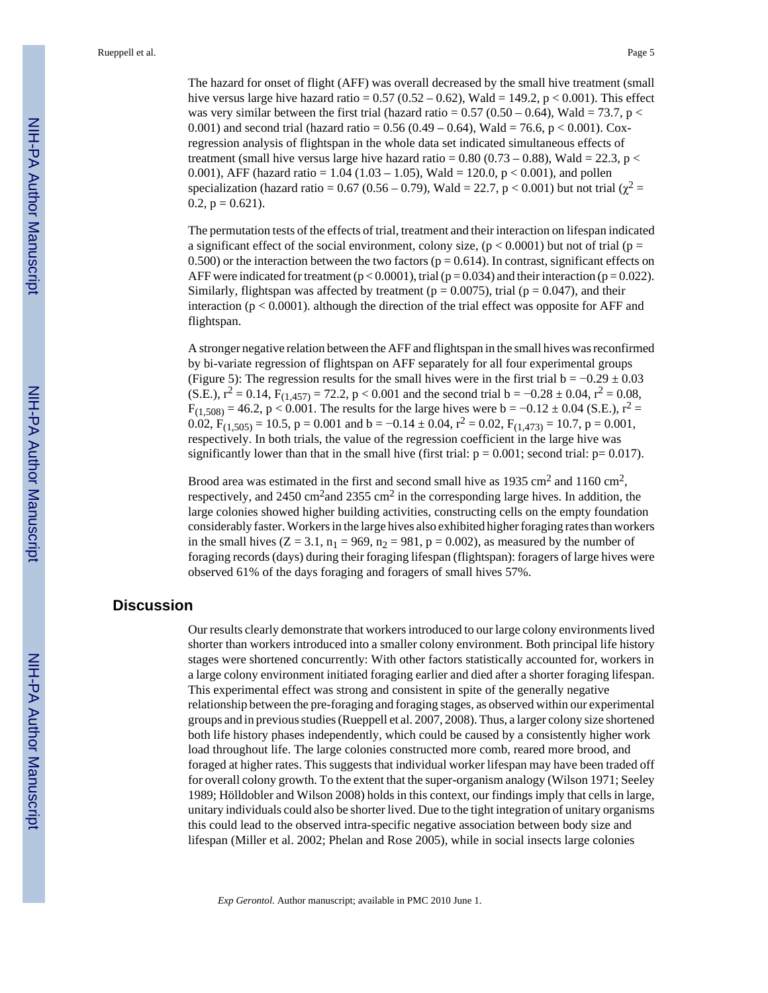Rueppell et al. Page 5

The hazard for onset of flight (AFF) was overall decreased by the small hive treatment (small hive versus large hive hazard ratio =  $0.57$  ( $0.52 - 0.62$ ), Wald = 149.2, p < 0.001). This effect was very similar between the first trial (hazard ratio =  $0.57$  ( $0.50 - 0.64$ ), Wald =  $73.7$ , p < 0.001) and second trial (hazard ratio =  $0.56$  (0.49 – 0.64), Wald = 76.6, p < 0.001). Coxregression analysis of flightspan in the whole data set indicated simultaneous effects of treatment (small hive versus large hive hazard ratio =  $0.80$  ( $0.73 - 0.88$ ), Wald = 22.3, p < 0.001), AFF (hazard ratio =  $1.04$  (1.03 – 1.05), Wald = 120.0, p < 0.001), and pollen specialization (hazard ratio = 0.67 (0.56 – 0.79), Wald = 22.7,  $p < 0.001$ ) but not trial ( $\chi^2$  = 0.2,  $p = 0.621$ .

The permutation tests of the effects of trial, treatment and their interaction on lifespan indicated a significant effect of the social environment, colony size,  $(p < 0.0001)$  but not of trial ( $p =$ 0.500) or the interaction between the two factors ( $p = 0.614$ ). In contrast, significant effects on AFF were indicated for treatment ( $p < 0.0001$ ), trial ( $p = 0.034$ ) and their interaction ( $p = 0.022$ ). Similarly, flightspan was affected by treatment ( $p = 0.0075$ ), trial ( $p = 0.047$ ), and their interaction ( $p < 0.0001$ ). although the direction of the trial effect was opposite for AFF and flightspan.

A stronger negative relation between the AFF and flightspan in the small hives was reconfirmed by bi-variate regression of flightspan on AFF separately for all four experimental groups (Figure 5): The regression results for the small hives were in the first trial  $b = -0.29 \pm 0.03$ (S.E.),  $r^2 = 0.14$ ,  $F_{(1,457)} = 72.2$ ,  $p < 0.001$  and the second trial  $b = -0.28 \pm 0.04$ ,  $r^2 = 0.08$ ,  $F_{(1,508)} = 46.2$ , p < 0.001. The results for the large hives were b = -0.12 ± 0.04 (S.E.), r<sup>2</sup> =  $0.02$ ,  $F_{(1,505)} = 10.5$ ,  $p = 0.001$  and  $b = -0.14 \pm 0.04$ ,  $r^2 = 0.02$ ,  $F_{(1,473)} = 10.7$ ,  $p = 0.001$ , respectively. In both trials, the value of the regression coefficient in the large hive was significantly lower than that in the small hive (first trial:  $p = 0.001$ ; second trial:  $p = 0.017$ ).

Brood area was estimated in the first and second small hive as  $1935 \text{ cm}^2$  and  $1160 \text{ cm}^2$ , respectively, and 2450 cm<sup>2</sup> and 2355 cm<sup>2</sup> in the corresponding large hives. In addition, the large colonies showed higher building activities, constructing cells on the empty foundation considerably faster. Workers in the large hives also exhibited higher foraging rates than workers in the small hives  $(Z = 3.1, n_1 = 969, n_2 = 981, p = 0.002)$ , as measured by the number of foraging records (days) during their foraging lifespan (flightspan): foragers of large hives were observed 61% of the days foraging and foragers of small hives 57%.

#### **Discussion**

Our results clearly demonstrate that workers introduced to our large colony environments lived shorter than workers introduced into a smaller colony environment. Both principal life history stages were shortened concurrently: With other factors statistically accounted for, workers in a large colony environment initiated foraging earlier and died after a shorter foraging lifespan. This experimental effect was strong and consistent in spite of the generally negative relationship between the pre-foraging and foraging stages, as observed within our experimental groups and in previous studies (Rueppell et al. 2007, 2008). Thus, a larger colony size shortened both life history phases independently, which could be caused by a consistently higher work load throughout life. The large colonies constructed more comb, reared more brood, and foraged at higher rates. This suggests that individual worker lifespan may have been traded off for overall colony growth. To the extent that the super-organism analogy (Wilson 1971; Seeley 1989; Hölldobler and Wilson 2008) holds in this context, our findings imply that cells in large, unitary individuals could also be shorter lived. Due to the tight integration of unitary organisms this could lead to the observed intra-specific negative association between body size and lifespan (Miller et al. 2002; Phelan and Rose 2005), while in social insects large colonies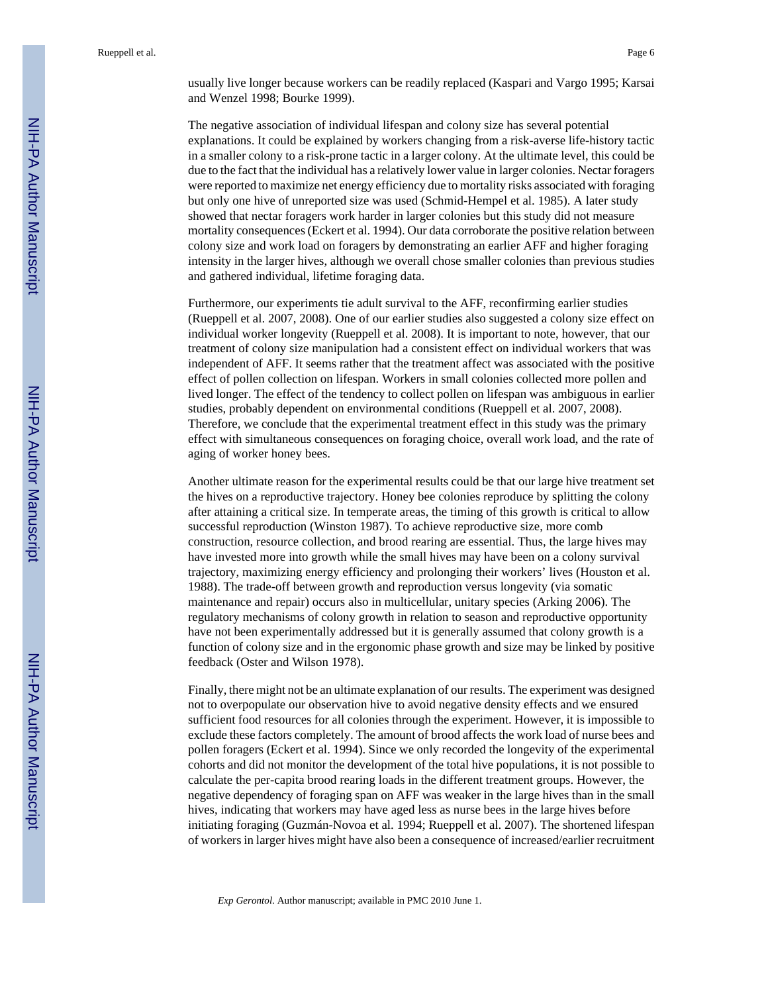usually live longer because workers can be readily replaced (Kaspari and Vargo 1995; Karsai and Wenzel 1998; Bourke 1999).

The negative association of individual lifespan and colony size has several potential explanations. It could be explained by workers changing from a risk-averse life-history tactic in a smaller colony to a risk-prone tactic in a larger colony. At the ultimate level, this could be due to the fact that the individual has a relatively lower value in larger colonies. Nectar foragers were reported to maximize net energy efficiency due to mortality risks associated with foraging but only one hive of unreported size was used (Schmid-Hempel et al. 1985). A later study showed that nectar foragers work harder in larger colonies but this study did not measure mortality consequences (Eckert et al. 1994). Our data corroborate the positive relation between colony size and work load on foragers by demonstrating an earlier AFF and higher foraging intensity in the larger hives, although we overall chose smaller colonies than previous studies and gathered individual, lifetime foraging data.

Furthermore, our experiments tie adult survival to the AFF, reconfirming earlier studies (Rueppell et al. 2007, 2008). One of our earlier studies also suggested a colony size effect on individual worker longevity (Rueppell et al. 2008). It is important to note, however, that our treatment of colony size manipulation had a consistent effect on individual workers that was independent of AFF. It seems rather that the treatment affect was associated with the positive effect of pollen collection on lifespan. Workers in small colonies collected more pollen and lived longer. The effect of the tendency to collect pollen on lifespan was ambiguous in earlier studies, probably dependent on environmental conditions (Rueppell et al. 2007, 2008). Therefore, we conclude that the experimental treatment effect in this study was the primary effect with simultaneous consequences on foraging choice, overall work load, and the rate of aging of worker honey bees.

Another ultimate reason for the experimental results could be that our large hive treatment set the hives on a reproductive trajectory. Honey bee colonies reproduce by splitting the colony after attaining a critical size. In temperate areas, the timing of this growth is critical to allow successful reproduction (Winston 1987). To achieve reproductive size, more comb construction, resource collection, and brood rearing are essential. Thus, the large hives may have invested more into growth while the small hives may have been on a colony survival trajectory, maximizing energy efficiency and prolonging their workers' lives (Houston et al. 1988). The trade-off between growth and reproduction versus longevity (via somatic maintenance and repair) occurs also in multicellular, unitary species (Arking 2006). The regulatory mechanisms of colony growth in relation to season and reproductive opportunity have not been experimentally addressed but it is generally assumed that colony growth is a function of colony size and in the ergonomic phase growth and size may be linked by positive feedback (Oster and Wilson 1978).

Finally, there might not be an ultimate explanation of our results. The experiment was designed not to overpopulate our observation hive to avoid negative density effects and we ensured sufficient food resources for all colonies through the experiment. However, it is impossible to exclude these factors completely. The amount of brood affects the work load of nurse bees and pollen foragers (Eckert et al. 1994). Since we only recorded the longevity of the experimental cohorts and did not monitor the development of the total hive populations, it is not possible to calculate the per-capita brood rearing loads in the different treatment groups. However, the negative dependency of foraging span on AFF was weaker in the large hives than in the small hives, indicating that workers may have aged less as nurse bees in the large hives before initiating foraging (Guzmán-Novoa et al. 1994; Rueppell et al. 2007). The shortened lifespan of workers in larger hives might have also been a consequence of increased/earlier recruitment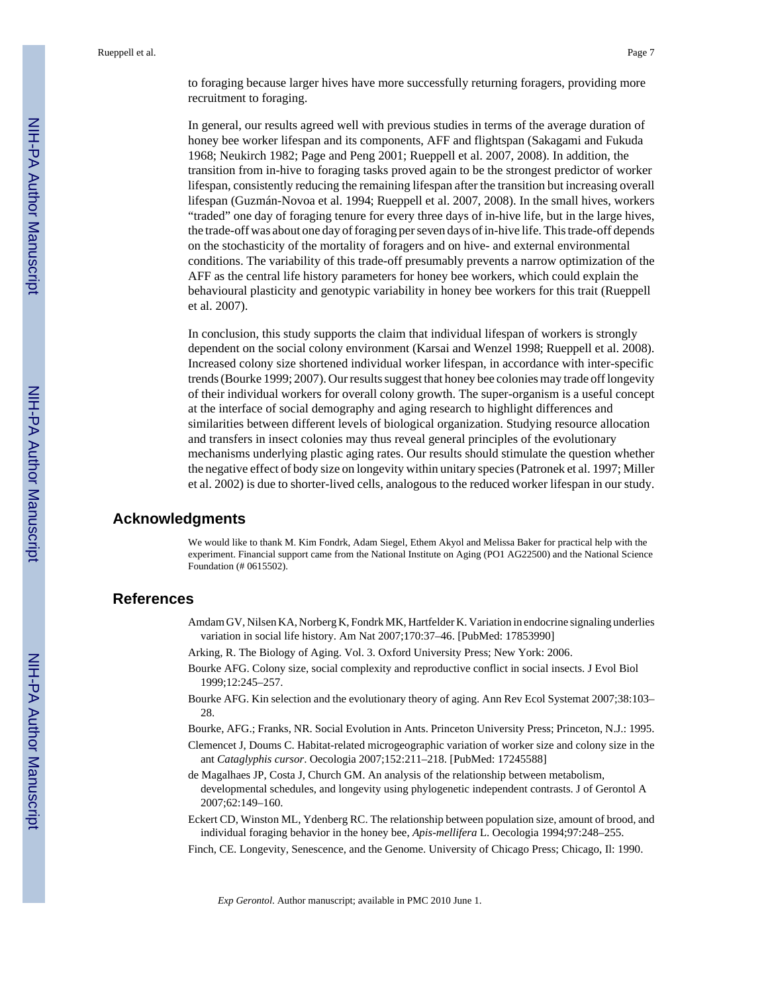to foraging because larger hives have more successfully returning foragers, providing more recruitment to foraging.

In general, our results agreed well with previous studies in terms of the average duration of honey bee worker lifespan and its components, AFF and flightspan (Sakagami and Fukuda 1968; Neukirch 1982; Page and Peng 2001; Rueppell et al. 2007, 2008). In addition, the transition from in-hive to foraging tasks proved again to be the strongest predictor of worker lifespan, consistently reducing the remaining lifespan after the transition but increasing overall lifespan (Guzmán-Novoa et al. 1994; Rueppell et al. 2007, 2008). In the small hives, workers "traded" one day of foraging tenure for every three days of in-hive life, but in the large hives, the trade-off was about one day of foraging per seven days of in-hive life. This trade-off depends on the stochasticity of the mortality of foragers and on hive- and external environmental conditions. The variability of this trade-off presumably prevents a narrow optimization of the AFF as the central life history parameters for honey bee workers, which could explain the behavioural plasticity and genotypic variability in honey bee workers for this trait (Rueppell et al. 2007).

In conclusion, this study supports the claim that individual lifespan of workers is strongly dependent on the social colony environment (Karsai and Wenzel 1998; Rueppell et al. 2008). Increased colony size shortened individual worker lifespan, in accordance with inter-specific trends (Bourke 1999; 2007). Our results suggest that honey bee colonies may trade off longevity of their individual workers for overall colony growth. The super-organism is a useful concept at the interface of social demography and aging research to highlight differences and similarities between different levels of biological organization. Studying resource allocation and transfers in insect colonies may thus reveal general principles of the evolutionary mechanisms underlying plastic aging rates. Our results should stimulate the question whether the negative effect of body size on longevity within unitary species (Patronek et al. 1997; Miller et al. 2002) is due to shorter-lived cells, analogous to the reduced worker lifespan in our study.

#### **Acknowledgments**

We would like to thank M. Kim Fondrk, Adam Siegel, Ethem Akyol and Melissa Baker for practical help with the experiment. Financial support came from the National Institute on Aging (PO1 AG22500) and the National Science Foundation (# 0615502).

# **References**

- Amdam GV, Nilsen KA, Norberg K, Fondrk MK, Hartfelder K. Variation in endocrine signaling underlies variation in social life history. Am Nat 2007;170:37–46. [PubMed: 17853990]
- Arking, R. The Biology of Aging. Vol. 3. Oxford University Press; New York: 2006.
- Bourke AFG. Colony size, social complexity and reproductive conflict in social insects. J Evol Biol 1999;12:245–257.
- Bourke AFG. Kin selection and the evolutionary theory of aging. Ann Rev Ecol Systemat 2007;38:103– 28.
- Bourke, AFG.; Franks, NR. Social Evolution in Ants. Princeton University Press; Princeton, N.J.: 1995.
- Clemencet J, Doums C. Habitat-related microgeographic variation of worker size and colony size in the ant *Cataglyphis cursor*. Oecologia 2007;152:211–218. [PubMed: 17245588]
- de Magalhaes JP, Costa J, Church GM. An analysis of the relationship between metabolism, developmental schedules, and longevity using phylogenetic independent contrasts. J of Gerontol A 2007;62:149–160.
- Eckert CD, Winston ML, Ydenberg RC. The relationship between population size, amount of brood, and individual foraging behavior in the honey bee, *Apis-mellifera* L. Oecologia 1994;97:248–255.
- Finch, CE. Longevity, Senescence, and the Genome. University of Chicago Press; Chicago, Il: 1990.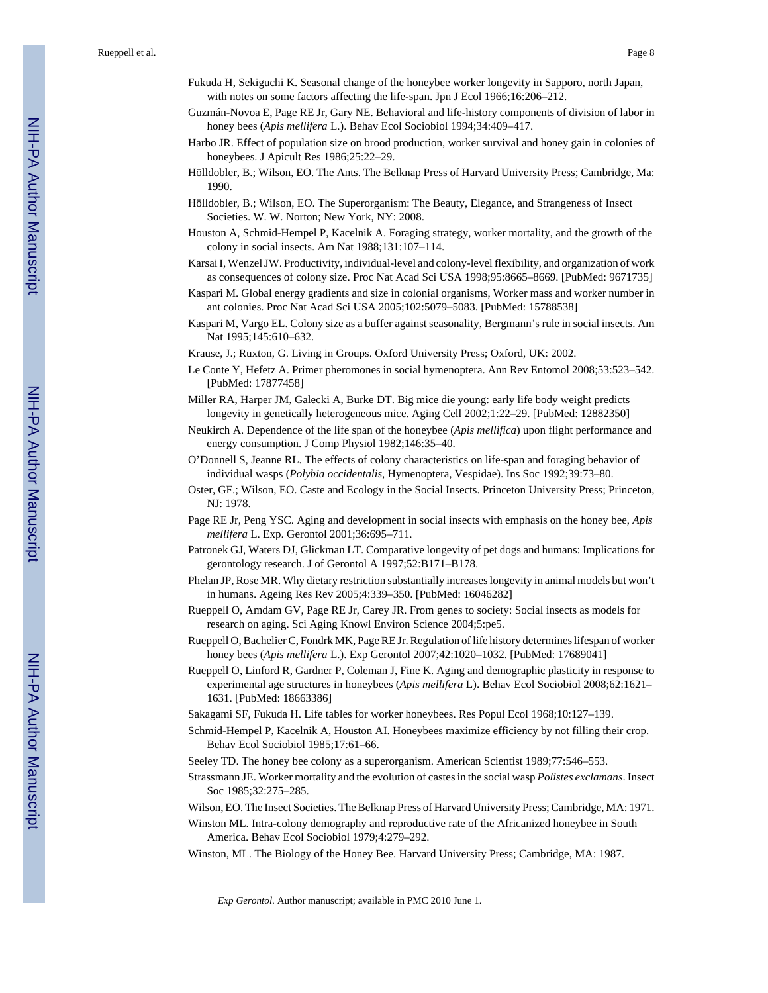Rueppell et al. Page 8

- Fukuda H, Sekiguchi K. Seasonal change of the honeybee worker longevity in Sapporo, north Japan, with notes on some factors affecting the life-span. Jpn J Ecol 1966;16:206–212.
- Guzmán-Novoa E, Page RE Jr, Gary NE. Behavioral and life-history components of division of labor in honey bees (*Apis mellifera* L.). Behav Ecol Sociobiol 1994;34:409–417.
- Harbo JR. Effect of population size on brood production, worker survival and honey gain in colonies of honeybees. J Apicult Res 1986;25:22–29.
- Hölldobler, B.; Wilson, EO. The Ants. The Belknap Press of Harvard University Press; Cambridge, Ma: 1990.
- Hölldobler, B.; Wilson, EO. The Superorganism: The Beauty, Elegance, and Strangeness of Insect Societies. W. W. Norton; New York, NY: 2008.
- Houston A, Schmid-Hempel P, Kacelnik A. Foraging strategy, worker mortality, and the growth of the colony in social insects. Am Nat 1988;131:107–114.
- Karsai I, Wenzel JW. Productivity, individual-level and colony-level flexibility, and organization of work as consequences of colony size. Proc Nat Acad Sci USA 1998;95:8665–8669. [PubMed: 9671735]
- Kaspari M. Global energy gradients and size in colonial organisms, Worker mass and worker number in ant colonies. Proc Nat Acad Sci USA 2005;102:5079–5083. [PubMed: 15788538]
- Kaspari M, Vargo EL. Colony size as a buffer against seasonality, Bergmann's rule in social insects. Am Nat 1995;145:610–632.
- Krause, J.; Ruxton, G. Living in Groups. Oxford University Press; Oxford, UK: 2002.
- Le Conte Y, Hefetz A. Primer pheromones in social hymenoptera. Ann Rev Entomol 2008;53:523–542. [PubMed: 17877458]
- Miller RA, Harper JM, Galecki A, Burke DT. Big mice die young: early life body weight predicts longevity in genetically heterogeneous mice. Aging Cell 2002;1:22–29. [PubMed: 12882350]
- Neukirch A. Dependence of the life span of the honeybee (*Apis mellifica*) upon flight performance and energy consumption. J Comp Physiol 1982;146:35–40.
- O'Donnell S, Jeanne RL. The effects of colony characteristics on life-span and foraging behavior of individual wasps (*Polybia occidentalis*, Hymenoptera, Vespidae). Ins Soc 1992;39:73–80.
- Oster, GF.; Wilson, EO. Caste and Ecology in the Social Insects. Princeton University Press; Princeton, NJ: 1978.
- Page RE Jr, Peng YSC. Aging and development in social insects with emphasis on the honey bee, *Apis mellifera* L. Exp. Gerontol 2001;36:695–711.
- Patronek GJ, Waters DJ, Glickman LT. Comparative longevity of pet dogs and humans: Implications for gerontology research. J of Gerontol A 1997;52:B171–B178.
- Phelan JP, Rose MR. Why dietary restriction substantially increases longevity in animal models but won't in humans. Ageing Res Rev 2005;4:339–350. [PubMed: 16046282]
- Rueppell O, Amdam GV, Page RE Jr, Carey JR. From genes to society: Social insects as models for research on aging. Sci Aging Knowl Environ Science 2004;5:pe5.
- Rueppell O, Bachelier C, Fondrk MK, Page RE Jr. Regulation of life history determines lifespan of worker honey bees (*Apis mellifera* L.). Exp Gerontol 2007;42:1020–1032. [PubMed: 17689041]
- Rueppell O, Linford R, Gardner P, Coleman J, Fine K. Aging and demographic plasticity in response to experimental age structures in honeybees (*Apis mellifera* L). Behav Ecol Sociobiol 2008;62:1621– 1631. [PubMed: 18663386]
- Sakagami SF, Fukuda H. Life tables for worker honeybees. Res Popul Ecol 1968;10:127–139.
- Schmid-Hempel P, Kacelnik A, Houston AI. Honeybees maximize efficiency by not filling their crop. Behav Ecol Sociobiol 1985;17:61–66.
- Seeley TD. The honey bee colony as a superorganism. American Scientist 1989;77:546–553.
- Strassmann JE. Worker mortality and the evolution of castes in the social wasp *Polistes exclamans*. Insect Soc 1985;32:275–285.
- Wilson, EO. The Insect Societies. The Belknap Press of Harvard University Press; Cambridge, MA: 1971.
- Winston ML. Intra-colony demography and reproductive rate of the Africanized honeybee in South America. Behav Ecol Sociobiol 1979;4:279–292.
- Winston, ML. The Biology of the Honey Bee. Harvard University Press; Cambridge, MA: 1987.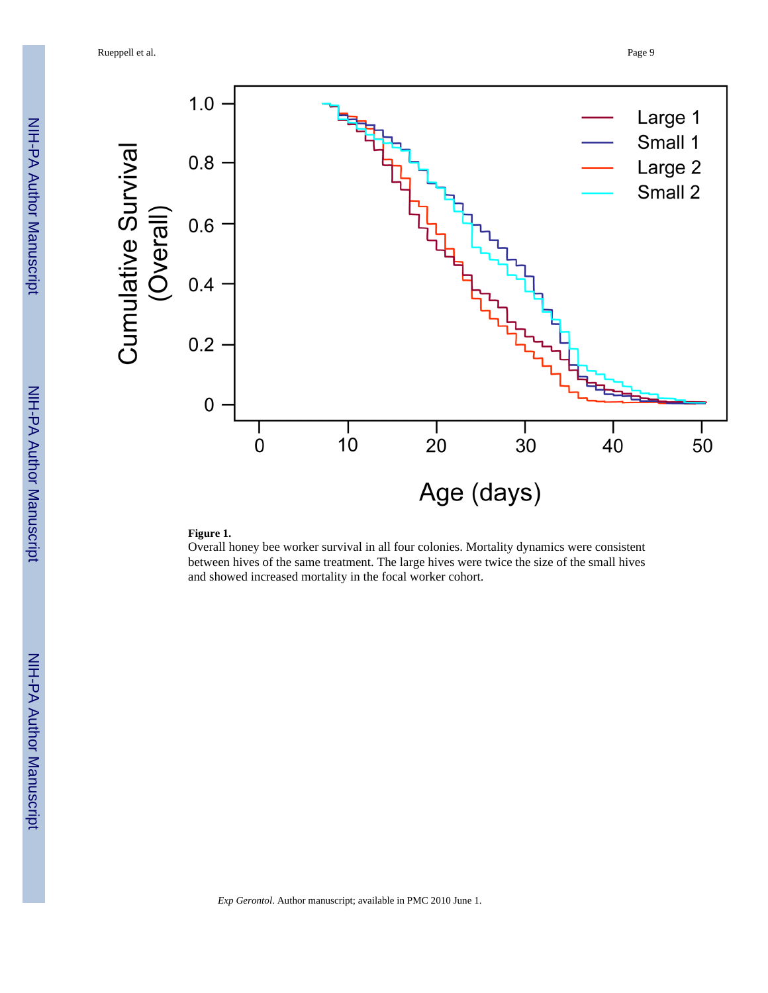

#### **Figure 1.**

Overall honey bee worker survival in all four colonies. Mortality dynamics were consistent between hives of the same treatment. The large hives were twice the size of the small hives and showed increased mortality in the focal worker cohort.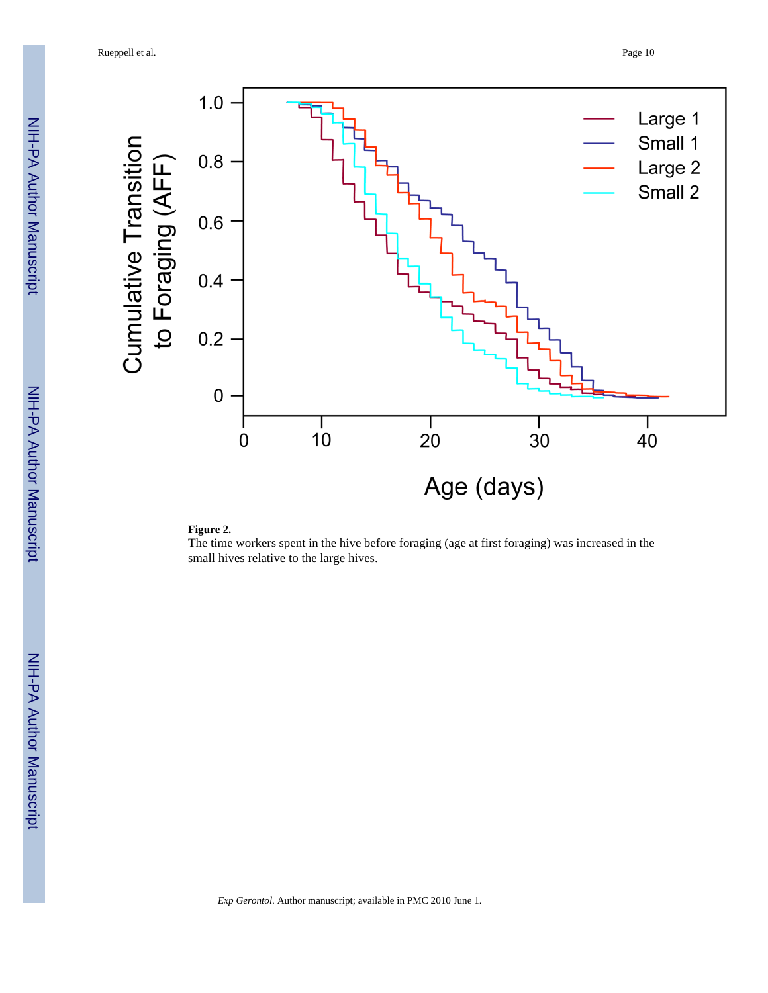

#### **Figure 2.**

The time workers spent in the hive before foraging (age at first foraging) was increased in the small hives relative to the large hives.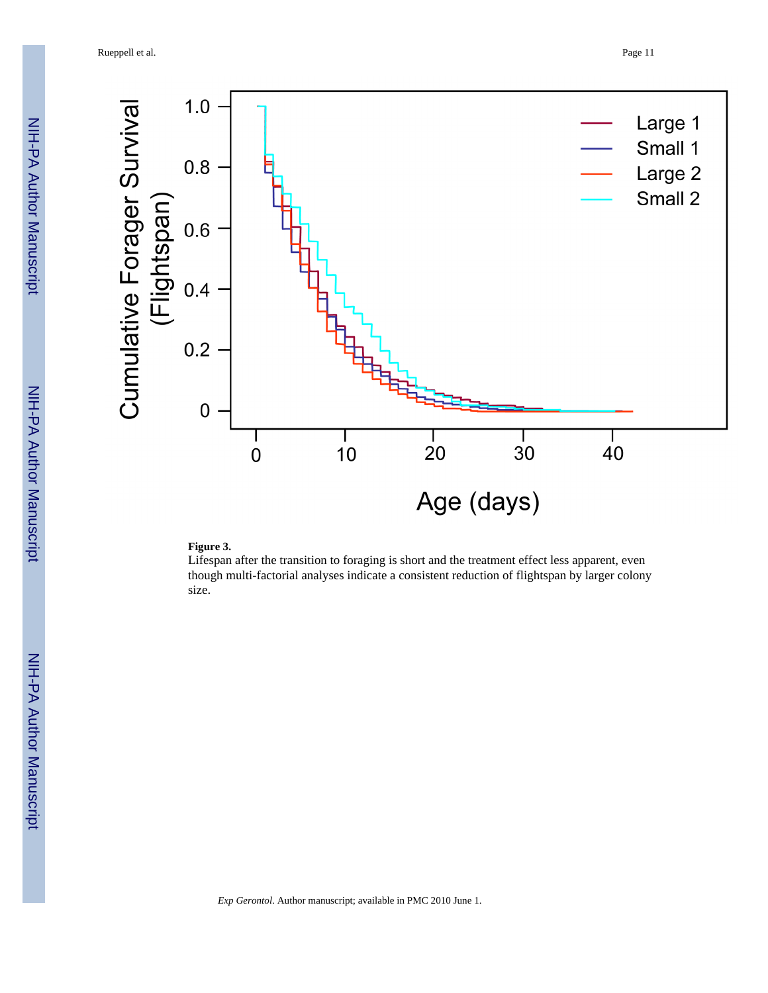

#### **Figure 3.**

Lifespan after the transition to foraging is short and the treatment effect less apparent, even though multi-factorial analyses indicate a consistent reduction of flightspan by larger colony size.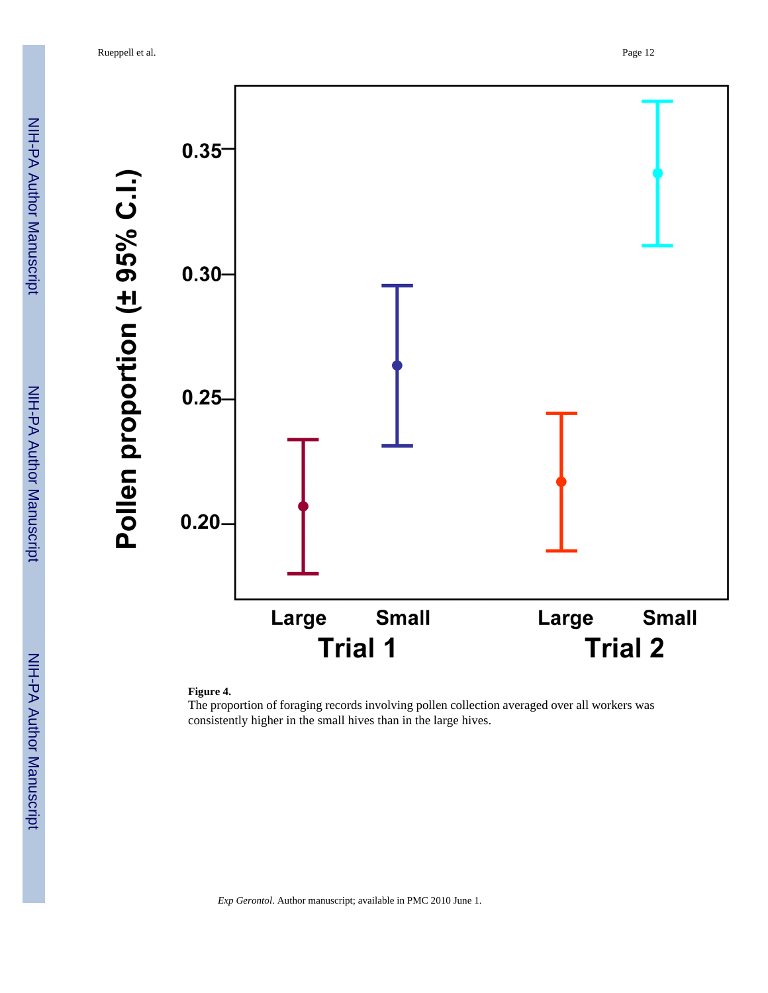NIH-PA Author Manuscript NIH-PA Author Manuscript



#### **Figure 4.**

The proportion of foraging records involving pollen collection averaged over all workers was consistently higher in the small hives than in the large hives.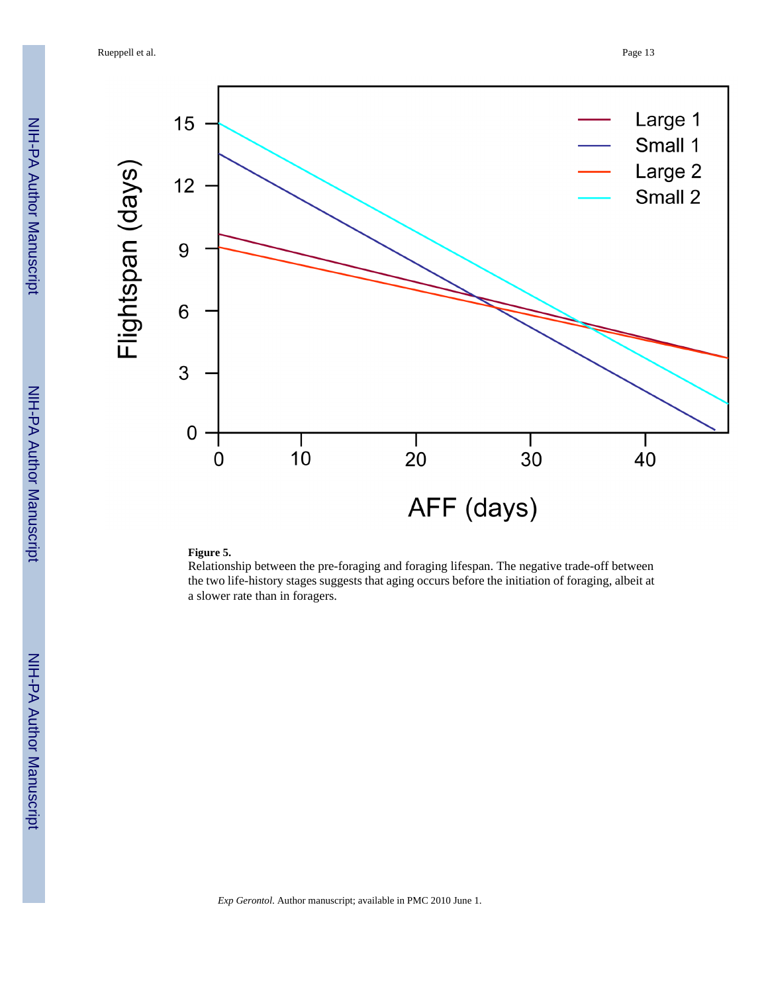

#### **Figure 5.**

Relationship between the pre-foraging and foraging lifespan. The negative trade-off between the two life-history stages suggests that aging occurs before the initiation of foraging, albeit at a slower rate than in foragers.